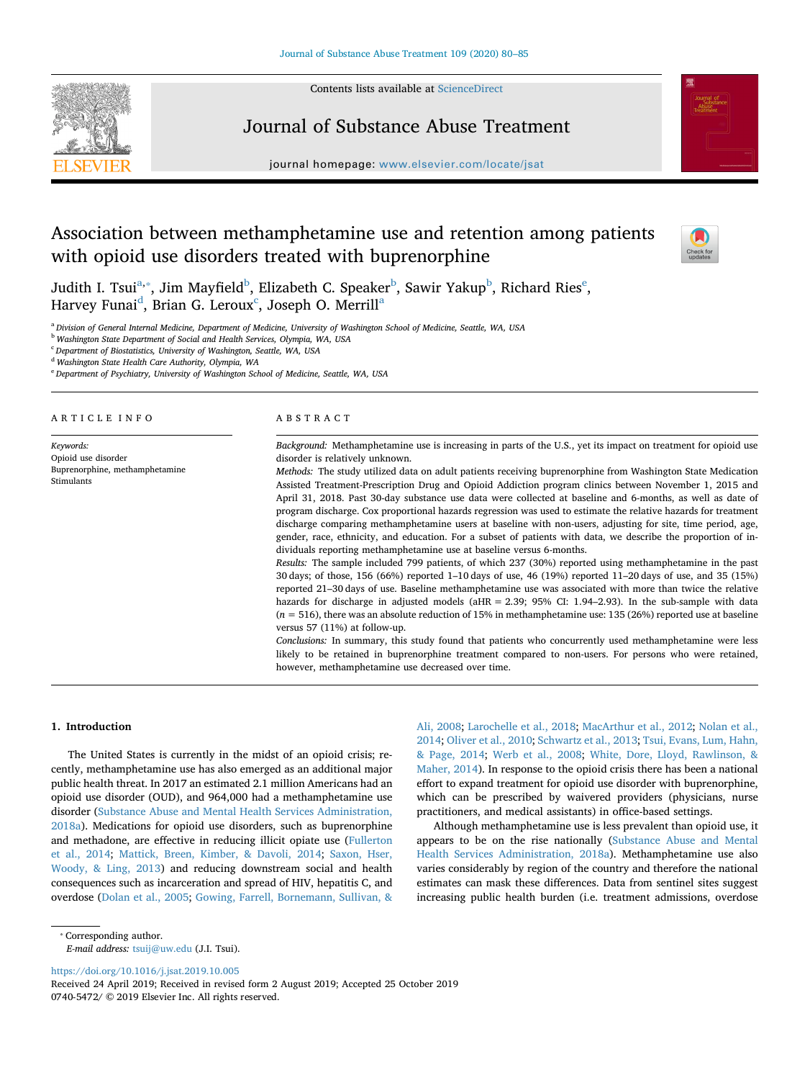Contents lists available at [ScienceDirect](http://www.sciencedirect.com/science/journal/07405472)



# Journal of Substance Abuse Treatment

journal homepage: [www.elsevier.com/locate/jsat](https://www.elsevier.com/locate/jsat)



# Association between methamphetamine use and retention among patients with opioid use disorders treated with buprenorphine



Judith I. Tsui $^{\rm a, *},$  $^{\rm a, *},$  $^{\rm a, *},$  Jim Mayfi[e](#page-0-3)ld $^{\rm b}$  $^{\rm b}$  $^{\rm b}$ , Elizabeth C. Speaker $^{\rm b}$ , Sawir Yakup $^{\rm b}$ , Richard Ries $^{\rm e}$ , H[a](#page-0-0)rvey Funai $^{\rm d}$  $^{\rm d}$  $^{\rm d}$ , Brian G. Leroux $^{\rm c}$  $^{\rm c}$  $^{\rm c}$ , Joseph O. Merrill $^{\rm a}$ 

<span id="page-0-0"></span><sup>a</sup> *Division of General Internal Medicine, Department of Medicine, University of Washington School of Medicine, Seattle, WA, USA*

<span id="page-0-2"></span><sup>b</sup> *Washington State Department of Social and Health Services, Olympia, WA, USA*

<span id="page-0-5"></span><sup>c</sup> *Department of Biostatistics, University of Washington, Seattle, WA, USA*

<span id="page-0-4"></span><sup>d</sup> *Washington State Health Care Authority, Olympia, WA*

<span id="page-0-3"></span><sup>e</sup> *Department of Psychiatry, University of Washington School of Medicine, Seattle, WA, USA*

| ARTICLE INFO                                                                     | ABSTRACT                                                                                                                                                                                                                                                                                                                                                                                                                                                                                                                                                                                                                                                                                                                                                                                                                                                                                                                                                                                                                                                                                                                                                                                                                                                                                                                                                                                                                                                                                                                                                                                                                                                                                                                                                                                                        |  |  |  |
|----------------------------------------------------------------------------------|-----------------------------------------------------------------------------------------------------------------------------------------------------------------------------------------------------------------------------------------------------------------------------------------------------------------------------------------------------------------------------------------------------------------------------------------------------------------------------------------------------------------------------------------------------------------------------------------------------------------------------------------------------------------------------------------------------------------------------------------------------------------------------------------------------------------------------------------------------------------------------------------------------------------------------------------------------------------------------------------------------------------------------------------------------------------------------------------------------------------------------------------------------------------------------------------------------------------------------------------------------------------------------------------------------------------------------------------------------------------------------------------------------------------------------------------------------------------------------------------------------------------------------------------------------------------------------------------------------------------------------------------------------------------------------------------------------------------------------------------------------------------------------------------------------------------|--|--|--|
| Keywords:<br>Opioid use disorder<br>Buprenorphine, methamphetamine<br>Stimulants | Background: Methamphetamine use is increasing in parts of the U.S., yet its impact on treatment for opioid use<br>disorder is relatively unknown.<br><i>Methods:</i> The study utilized data on adult patients receiving buprenorphine from Washington State Medication<br>Assisted Treatment-Prescription Drug and Opioid Addiction program clinics between November 1, 2015 and<br>April 31, 2018. Past 30-day substance use data were collected at baseline and 6-months, as well as date of<br>program discharge. Cox proportional hazards regression was used to estimate the relative hazards for treatment<br>discharge comparing methamphetamine users at baseline with non-users, adjusting for site, time period, age,<br>gender, race, ethnicity, and education. For a subset of patients with data, we describe the proportion of in-<br>dividuals reporting methamphetamine use at baseline versus 6-months.<br>Results: The sample included 799 patients, of which 237 (30%) reported using methamphetamine in the past<br>30 days; of those, 156 (66%) reported 1–10 days of use, 46 (19%) reported 11–20 days of use, and 35 (15%)<br>reported 21–30 days of use. Baseline methamphetamine use was associated with more than twice the relative<br>hazards for discharge in adjusted models ( $aHR = 2.39$ ; $95\%$ CI: 1.94–2.93). In the sub-sample with data<br>$(n = 516)$ , there was an absolute reduction of 15% in methamphetamine use: 135 (26%) reported use at baseline<br>versus $57$ (11%) at follow-up.<br>Conclusions: In summary, this study found that patients who concurrently used methamphetamine were less<br>likely to be retained in buprenorphine treatment compared to non-users. For persons who were retained,<br>however, methamphetamine use decreased over time. |  |  |  |

# **1. Introduction**

The United States is currently in the midst of an opioid crisis; recently, methamphetamine use has also emerged as an additional major public health threat. In 2017 an estimated 2.1 million Americans had an opioid use disorder (OUD), and 964,000 had a methamphetamine use disorder [\(Substance Abuse and Mental Health Services Administration,](#page-5-0) [2018a\)](#page-5-0). Medications for opioid use disorders, such as buprenorphine and methadone, are effective in reducing illicit opiate use [\(Fullerton](#page-4-0) [et al., 2014](#page-4-0); [Mattick, Breen, Kimber, & Davoli, 2014](#page-4-1); [Saxon, Hser,](#page-5-1) [Woody, & Ling, 2013](#page-5-1)) and reducing downstream social and health consequences such as incarceration and spread of HIV, hepatitis C, and overdose ([Dolan et al., 2005;](#page-4-2) [Gowing, Farrell, Bornemann, Sullivan, &](#page-4-3)

[Ali, 2008](#page-4-3); [Larochelle et al., 2018;](#page-4-4) [MacArthur et al., 2012](#page-4-5); [Nolan et al.,](#page-4-6) [2014;](#page-4-6) [Oliver et al., 2010;](#page-4-7) [Schwartz et al., 2013;](#page-5-2) [Tsui, Evans, Lum, Hahn,](#page-5-3) [& Page, 2014;](#page-5-3) [Werb et al., 2008;](#page-5-4) [White, Dore, Lloyd, Rawlinson, &](#page-5-5) [Maher, 2014\)](#page-5-5). In response to the opioid crisis there has been a national effort to expand treatment for opioid use disorder with buprenorphine, which can be prescribed by waivered providers (physicians, nurse practitioners, and medical assistants) in office-based settings.

Although methamphetamine use is less prevalent than opioid use, it appears to be on the rise nationally ([Substance Abuse and Mental](#page-5-0) [Health Services Administration, 2018a](#page-5-0)). Methamphetamine use also varies considerably by region of the country and therefore the national estimates can mask these differences. Data from sentinel sites suggest increasing public health burden (i.e. treatment admissions, overdose

# <span id="page-0-1"></span>⁎ Corresponding author.

*E-mail address:* [tsuij@uw.edu](mailto:tsuij@uw.edu) (J.I. Tsui).

<https://doi.org/10.1016/j.jsat.2019.10.005>

Received 24 April 2019; Received in revised form 2 August 2019; Accepted 25 October 2019 0740-5472/ © 2019 Elsevier Inc. All rights reserved.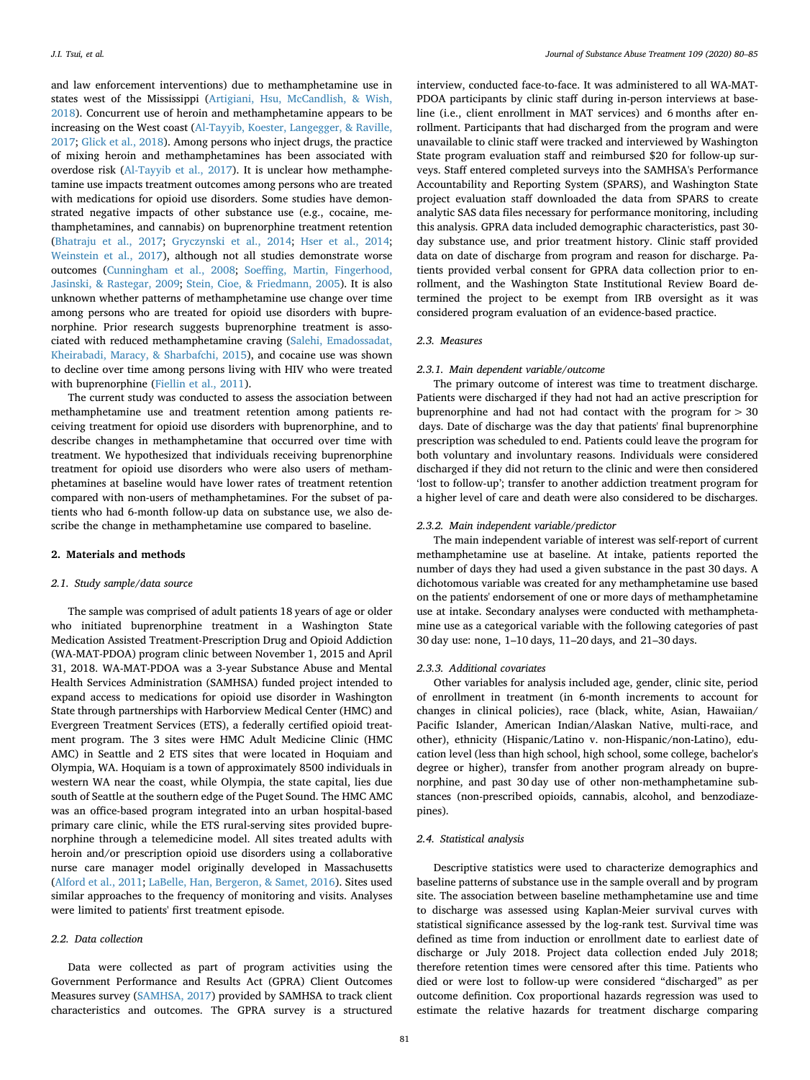and law enforcement interventions) due to methamphetamine use in states west of the Mississippi ([Artigiani, Hsu, McCandlish, & Wish,](#page-4-8) [2018\)](#page-4-8). Concurrent use of heroin and methamphetamine appears to be increasing on the West coast [\(Al-Tayyib, Koester, Langegger, & Raville,](#page-4-9) [2017;](#page-4-9) [Glick et al., 2018](#page-4-10)). Among persons who inject drugs, the practice of mixing heroin and methamphetamines has been associated with overdose risk [\(Al-Tayyib et al., 2017\)](#page-4-9). It is unclear how methamphetamine use impacts treatment outcomes among persons who are treated with medications for opioid use disorders. Some studies have demonstrated negative impacts of other substance use (e.g., cocaine, methamphetamines, and cannabis) on buprenorphine treatment retention ([Bhatraju et al., 2017;](#page-4-11) [Gryczynski et al., 2014;](#page-4-12) [Hser et al., 2014](#page-4-13); [Weinstein et al., 2017\)](#page-5-6), although not all studies demonstrate worse outcomes ([Cunningham et al., 2008](#page-4-14); [Soeffing, Martin, Fingerhood,](#page-5-7) [Jasinski, & Rastegar, 2009](#page-5-7); [Stein, Cioe, & Friedmann, 2005](#page-5-8)). It is also unknown whether patterns of methamphetamine use change over time among persons who are treated for opioid use disorders with buprenorphine. Prior research suggests buprenorphine treatment is associated with reduced methamphetamine craving ([Salehi, Emadossadat,](#page-4-15) [Kheirabadi, Maracy, & Sharbafchi, 2015\)](#page-4-15), and cocaine use was shown to decline over time among persons living with HIV who were treated with buprenorphine [\(Fiellin et al., 2011\)](#page-4-16).

The current study was conducted to assess the association between methamphetamine use and treatment retention among patients receiving treatment for opioid use disorders with buprenorphine, and to describe changes in methamphetamine that occurred over time with treatment. We hypothesized that individuals receiving buprenorphine treatment for opioid use disorders who were also users of methamphetamines at baseline would have lower rates of treatment retention compared with non-users of methamphetamines. For the subset of patients who had 6-month follow-up data on substance use, we also describe the change in methamphetamine use compared to baseline.

# **2. Materials and methods**

# *2.1. Study sample/data source*

The sample was comprised of adult patients 18 years of age or older who initiated buprenorphine treatment in a Washington State Medication Assisted Treatment-Prescription Drug and Opioid Addiction (WA-MAT-PDOA) program clinic between November 1, 2015 and April 31, 2018. WA-MAT-PDOA was a 3-year Substance Abuse and Mental Health Services Administration (SAMHSA) funded project intended to expand access to medications for opioid use disorder in Washington State through partnerships with Harborview Medical Center (HMC) and Evergreen Treatment Services (ETS), a federally certified opioid treatment program. The 3 sites were HMC Adult Medicine Clinic (HMC AMC) in Seattle and 2 ETS sites that were located in Hoquiam and Olympia, WA. Hoquiam is a town of approximately 8500 individuals in western WA near the coast, while Olympia, the state capital, lies due south of Seattle at the southern edge of the Puget Sound. The HMC AMC was an office-based program integrated into an urban hospital-based primary care clinic, while the ETS rural-serving sites provided buprenorphine through a telemedicine model. All sites treated adults with heroin and/or prescription opioid use disorders using a collaborative nurse care manager model originally developed in Massachusetts ([Alford et al., 2011;](#page-4-17) [LaBelle, Han, Bergeron, & Samet, 2016\)](#page-4-18). Sites used similar approaches to the frequency of monitoring and visits. Analyses were limited to patients' first treatment episode.

### *2.2. Data collection*

Data were collected as part of program activities using the Government Performance and Results Act (GPRA) Client Outcomes Measures survey [\(SAMHSA, 2017\)](#page-5-9) provided by SAMHSA to track client characteristics and outcomes. The GPRA survey is a structured interview, conducted face-to-face. It was administered to all WA-MAT-PDOA participants by clinic staff during in-person interviews at baseline (i.e., client enrollment in MAT services) and 6 months after enrollment. Participants that had discharged from the program and were unavailable to clinic staff were tracked and interviewed by Washington State program evaluation staff and reimbursed \$20 for follow-up surveys. Staff entered completed surveys into the SAMHSA's Performance Accountability and Reporting System (SPARS), and Washington State project evaluation staff downloaded the data from SPARS to create analytic SAS data files necessary for performance monitoring, including this analysis. GPRA data included demographic characteristics, past 30 day substance use, and prior treatment history. Clinic staff provided data on date of discharge from program and reason for discharge. Patients provided verbal consent for GPRA data collection prior to enrollment, and the Washington State Institutional Review Board determined the project to be exempt from IRB oversight as it was considered program evaluation of an evidence-based practice.

#### *2.3. Measures*

#### *2.3.1. Main dependent variable/outcome*

The primary outcome of interest was time to treatment discharge. Patients were discharged if they had not had an active prescription for buprenorphine and had not had contact with the program for > 30 days. Date of discharge was the day that patients' final buprenorphine prescription was scheduled to end. Patients could leave the program for both voluntary and involuntary reasons. Individuals were considered discharged if they did not return to the clinic and were then considered 'lost to follow-up'; transfer to another addiction treatment program for a higher level of care and death were also considered to be discharges.

# *2.3.2. Main independent variable/predictor*

The main independent variable of interest was self-report of current methamphetamine use at baseline. At intake, patients reported the number of days they had used a given substance in the past 30 days. A dichotomous variable was created for any methamphetamine use based on the patients' endorsement of one or more days of methamphetamine use at intake. Secondary analyses were conducted with methamphetamine use as a categorical variable with the following categories of past 30 day use: none, 1–10 days, 11–20 days, and 21–30 days.

# *2.3.3. Additional covariates*

Other variables for analysis included age, gender, clinic site, period of enrollment in treatment (in 6-month increments to account for changes in clinical policies), race (black, white, Asian, Hawaiian/ Pacific Islander, American Indian/Alaskan Native, multi-race, and other), ethnicity (Hispanic/Latino v. non-Hispanic/non-Latino), education level (less than high school, high school, some college, bachelor's degree or higher), transfer from another program already on buprenorphine, and past 30 day use of other non-methamphetamine substances (non-prescribed opioids, cannabis, alcohol, and benzodiazepines).

## *2.4. Statistical analysis*

Descriptive statistics were used to characterize demographics and baseline patterns of substance use in the sample overall and by program site. The association between baseline methamphetamine use and time to discharge was assessed using Kaplan-Meier survival curves with statistical significance assessed by the log-rank test. Survival time was defined as time from induction or enrollment date to earliest date of discharge or July 2018. Project data collection ended July 2018; therefore retention times were censored after this time. Patients who died or were lost to follow-up were considered "discharged" as per outcome definition. Cox proportional hazards regression was used to estimate the relative hazards for treatment discharge comparing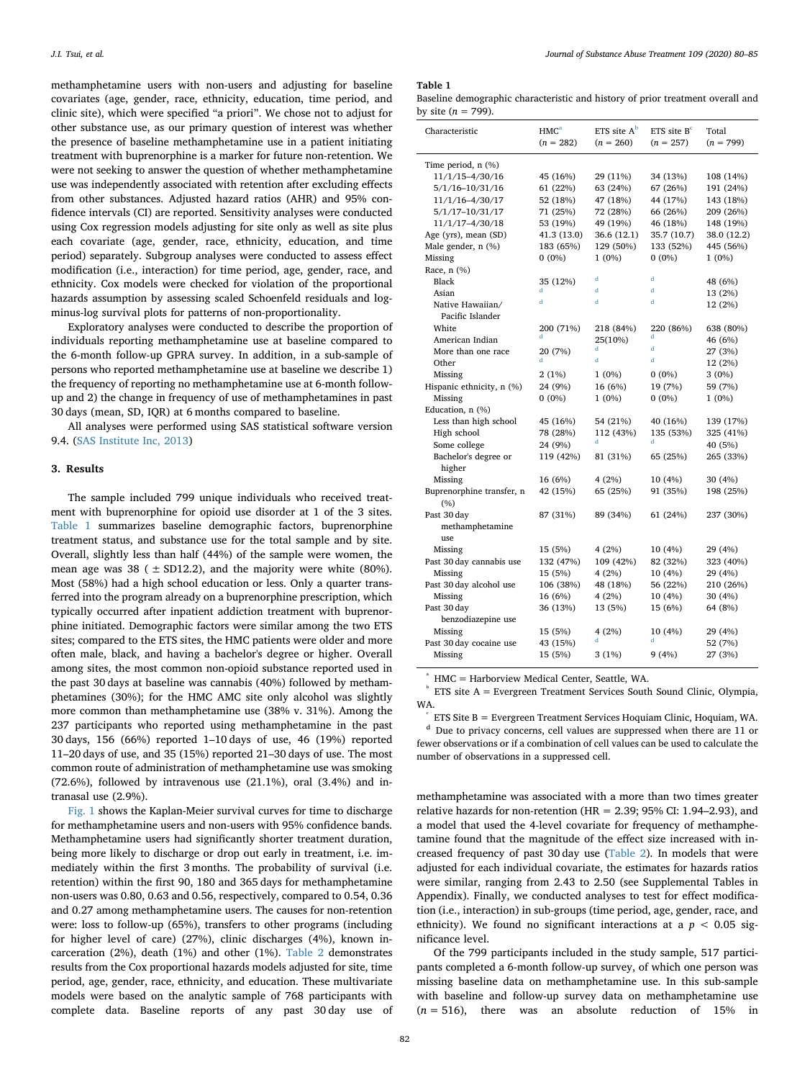methamphetamine users with non-users and adjusting for baseline covariates (age, gender, race, ethnicity, education, time period, and clinic site), which were specified "a priori". We chose not to adjust for other substance use, as our primary question of interest was whether the presence of baseline methamphetamine use in a patient initiating treatment with buprenorphine is a marker for future non-retention. We were not seeking to answer the question of whether methamphetamine use was independently associated with retention after excluding effects from other substances. Adjusted hazard ratios (AHR) and 95% confidence intervals (CI) are reported. Sensitivity analyses were conducted using Cox regression models adjusting for site only as well as site plus each covariate (age, gender, race, ethnicity, education, and time period) separately. Subgroup analyses were conducted to assess effect modification (i.e., interaction) for time period, age, gender, race, and ethnicity. Cox models were checked for violation of the proportional hazards assumption by assessing scaled Schoenfeld residuals and logminus-log survival plots for patterns of non-proportionality.

Exploratory analyses were conducted to describe the proportion of individuals reporting methamphetamine use at baseline compared to the 6-month follow-up GPRA survey. In addition, in a sub-sample of persons who reported methamphetamine use at baseline we describe 1) the frequency of reporting no methamphetamine use at 6-month followup and 2) the change in frequency of use of methamphetamines in past 30 days (mean, SD, IQR) at 6 months compared to baseline.

All analyses were performed using SAS statistical software version 9.4. ([SAS Institute Inc, 2013\)](#page-5-10)

# **3. Results**

The sample included 799 unique individuals who received treatment with buprenorphine for opioid use disorder at 1 of the 3 sites. [Table 1](#page-2-0) summarizes baseline demographic factors, buprenorphine treatment status, and substance use for the total sample and by site. Overall, slightly less than half (44%) of the sample were women, the mean age was  $38$  ( $\pm$  SD12.2), and the majority were white (80%). Most (58%) had a high school education or less. Only a quarter transferred into the program already on a buprenorphine prescription, which typically occurred after inpatient addiction treatment with buprenorphine initiated. Demographic factors were similar among the two ETS sites; compared to the ETS sites, the HMC patients were older and more often male, black, and having a bachelor's degree or higher. Overall among sites, the most common non-opioid substance reported used in the past 30 days at baseline was cannabis (40%) followed by methamphetamines (30%); for the HMC AMC site only alcohol was slightly more common than methamphetamine use (38% v. 31%). Among the 237 participants who reported using methamphetamine in the past 30 days, 156 (66%) reported 1–10 days of use, 46 (19%) reported 11–20 days of use, and 35 (15%) reported 21–30 days of use. The most common route of administration of methamphetamine use was smoking (72.6%), followed by intravenous use (21.1%), oral (3.4%) and intranasal use (2.9%).

[Fig. 1](#page-3-0) shows the Kaplan-Meier survival curves for time to discharge for methamphetamine users and non-users with 95% confidence bands. Methamphetamine users had significantly shorter treatment duration, being more likely to discharge or drop out early in treatment, i.e. immediately within the first 3 months. The probability of survival (i.e. retention) within the first 90, 180 and 365 days for methamphetamine non-users was 0.80, 0.63 and 0.56, respectively, compared to 0.54, 0.36 and 0.27 among methamphetamine users. The causes for non-retention were: loss to follow-up (65%), transfers to other programs (including for higher level of care) (27%), clinic discharges (4%), known incarceration (2%), death (1%) and other (1%). [Table 2](#page-3-1) demonstrates results from the Cox proportional hazards models adjusted for site, time period, age, gender, race, ethnicity, and education. These multivariate models were based on the analytic sample of 768 participants with complete data. Baseline reports of any past 30 day use of

### <span id="page-2-0"></span>**Table 1**

|                       | Baseline demographic characteristic and history of prior treatment overall and |  |  |  |
|-----------------------|--------------------------------------------------------------------------------|--|--|--|
| by site $(n = 799)$ . |                                                                                |  |  |  |

| Characteristic                    | HMC <sup>a</sup><br>$(n = 282)$ | ETS site $A^b$<br>$(n = 260)$ | $ETS$ site $Bc$<br>$(n = 257)$ | Total<br>$(n = 799)$ |
|-----------------------------------|---------------------------------|-------------------------------|--------------------------------|----------------------|
| Time period, n (%)                |                                 |                               |                                |                      |
| 11/1/15-4/30/16                   | 45 (16%)                        | 29 (11%)                      | 34 (13%)                       | 108 (14%)            |
| 5/1/16-10/31/16                   | 61 (22%)                        | 63 (24%)                      | 67 (26%)                       | 191 (24%)            |
| 11/1/16-4/30/17                   | 52 (18%)                        | 47 (18%)                      | 44 (17%)                       | 143 (18%)            |
| 5/1/17-10/31/17                   | 71 (25%)                        | 72 (28%)                      | 66 (26%)                       | 209 (26%)            |
| 11/1/17-4/30/18                   | 53 (19%)                        | 49 (19%)                      | 46 (18%)                       | 148 (19%)            |
| Age (yrs), mean (SD)              | 41.3 (13.0)                     | 36.6 (12.1)                   | 35.7 (10.7)                    | 38.0 (12.2)          |
| Male gender, n (%)                | 183 (65%)                       | 129 (50%)                     | 133 (52%)                      | 445 (56%)            |
| Missing                           | $0(0\%)$                        | $1(0\%)$                      | $0(0\%)$                       | 1 (0%)               |
| Race, n (%)                       |                                 |                               |                                |                      |
| Black                             | 35 (12%)                        | d                             | d                              | 48 (6%)              |
| Asian                             |                                 | d                             | d                              | 13 (2%)              |
| Native Hawaiian/                  | đ                               | d                             | d                              | 12 (2%)              |
| Pacific Islander                  |                                 |                               |                                |                      |
| White                             | 200 (71%)                       | 218 (84%)                     | 220 (86%)                      | 638 (80%)            |
| American Indian                   | d                               | 25(10%)                       | d                              | 46 (6%)              |
| More than one race                | 20 (7%)                         | d                             | d                              | 27 (3%)              |
| Other                             |                                 | d                             | d                              | 12 (2%)              |
| Missing                           | 2(1%)                           | $1(0\%)$                      | $0(0\%)$                       | $3(0\%)$             |
| Hispanic ethnicity, n (%)         | 24 (9%)                         | 16 (6%)                       | 19 (7%)                        | 59 (7%)              |
| Missing                           | $0(0\%)$                        | $1(0\%)$                      | $0(0\%)$                       | 1 (0%)               |
| Education, n (%)                  |                                 |                               |                                |                      |
| Less than high school             | 45 (16%)                        | 54 (21%)                      | 40 (16%)                       | 139 (17%)            |
| High school                       | 78 (28%)                        | 112 (43%)                     | 135 (53%)                      | 325 (41%)            |
| Some college                      | 24 (9%)                         | d                             | A                              | 40 (5%)              |
| Bachelor's degree or              | 119 (42%)                       | 81 (31%)                      | 65 (25%)                       | 265 (33%)            |
| higher                            |                                 |                               |                                |                      |
| Missing                           | 16 (6%)                         | 4(2%)                         | 10 (4%)                        | 30 (4%)              |
| Buprenorphine transfer, n         | 42 (15%)                        | 65 (25%)                      | 91 (35%)                       | 198 (25%)            |
| (9/0)                             |                                 |                               |                                |                      |
| Past 30 day                       | 87 (31%)                        | 89 (34%)                      | 61 (24%)                       | 237 (30%)            |
| methamphetamine                   |                                 |                               |                                |                      |
| use                               |                                 |                               |                                |                      |
| Missing                           | 15 (5%)                         | 4(2%)                         | 10 (4%)                        | 29 (4%)              |
| Past 30 day cannabis use          | 132 (47%)                       | 109 (42%)                     | 82 (32%)                       | 323 (40%)            |
| Missing                           | 15 (5%)                         | 4(2%)                         | 10 (4%)                        | 29 (4%)              |
| Past 30 day alcohol use           | 106 (38%)                       | 48 (18%)                      | 56 (22%)                       | 210 (26%)            |
| Missing                           | 16 (6%)                         | 4(2%)                         | 10 (4%)                        | 30 (4%)              |
| Past 30 day<br>benzodiazepine use | 36 (13%)                        | 13 (5%)                       | 15 (6%)                        | 64 (8%)              |
| Missing                           | 15 (5%)                         | 4(2%)                         | 10 (4%)                        | 29 (4%)              |
| Past 30 day cocaine use           | 43 (15%)                        | đ                             | d                              | 52 (7%)              |
| Missing                           | 15 (5%)                         | 3(1%)                         | 9(4%)                          | 27 (3%)              |

<span id="page-2-1"></span>a HMC = Harborview Medical Center, Seattle, WA.

<span id="page-2-2"></span>b ETS site A = Evergreen Treatment Services South Sound Clinic, Olympia, WA.

<span id="page-2-3"></span>c ETS Site B = Evergreen Treatment Services Hoquiam Clinic, Hoquiam, WA.

<span id="page-2-4"></span><sup>d</sup> Due to privacy concerns, cell values are suppressed when there are 11 or fewer observations or if a combination of cell values can be used to calculate the number of observations in a suppressed cell.

methamphetamine was associated with a more than two times greater relative hazards for non-retention (HR = 2.39; 95% CI: 1.94-2.93), and a model that used the 4-level covariate for frequency of methamphetamine found that the magnitude of the effect size increased with increased frequency of past 30 day use ([Table 2](#page-3-1)). In models that were adjusted for each individual covariate, the estimates for hazards ratios were similar, ranging from 2.43 to 2.50 (see Supplemental Tables in Appendix). Finally, we conducted analyses to test for effect modification (i.e., interaction) in sub-groups (time period, age, gender, race, and ethnicity). We found no significant interactions at a  $p < 0.05$  significance level.

Of the 799 participants included in the study sample, 517 participants completed a 6-month follow-up survey, of which one person was missing baseline data on methamphetamine use. In this sub-sample with baseline and follow-up survey data on methamphetamine use (*n* = 516), there was an absolute reduction of 15% in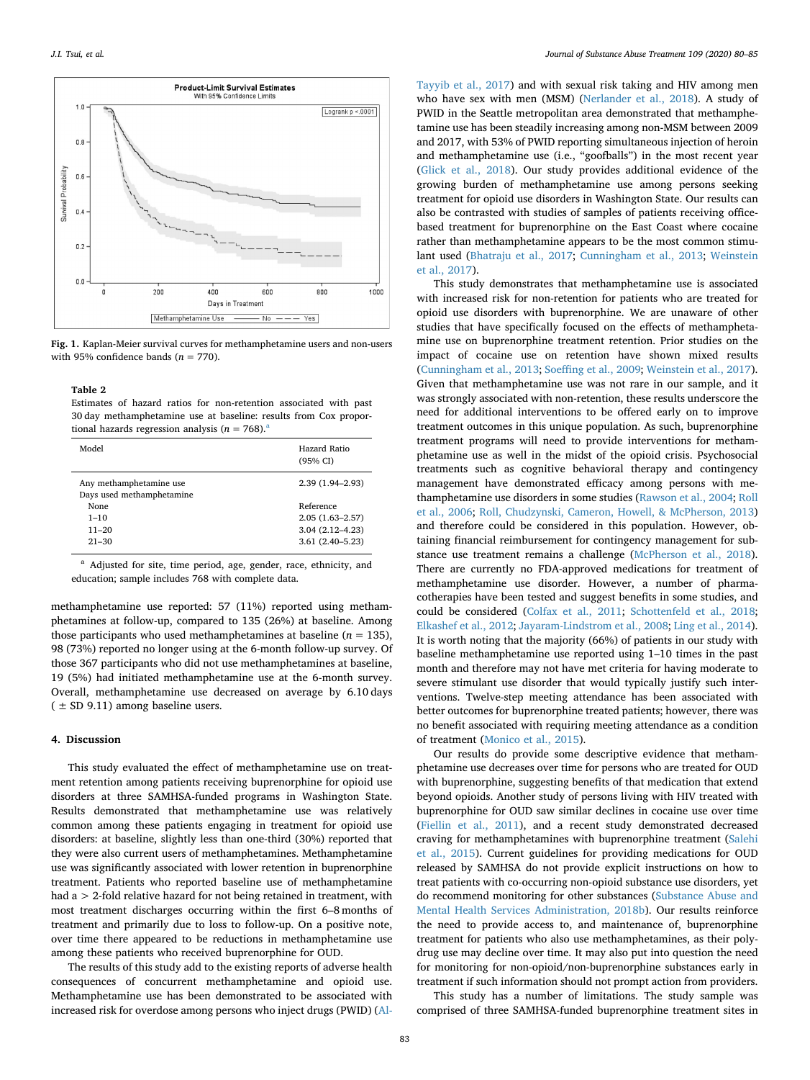<span id="page-3-0"></span>

**Fig. 1.** Kaplan-Meier survival curves for methamphetamine users and non-users with 95% confidence bands  $(n = 770)$ .

# <span id="page-3-1"></span>**Table 2**

Estimates of hazard ratios for non-retention associated with past 30 day methamphetamine use at baseline: results from Cox proportion[a](#page-3-2)l hazards regression analysis ( $n = 768$ ).<sup>8</sup>

| Model                                                | Hazard Ratio<br>(95% CI) |
|------------------------------------------------------|--------------------------|
| Any methamphetamine use<br>Days used methamphetamine | $2.39(1.94 - 2.93)$      |
| None                                                 | Reference                |
| $1 - 10$                                             | $2.05(1.63 - 2.57)$      |
| $11 - 20$                                            | $3.04(2.12 - 4.23)$      |
| $21 - 30$                                            | $3.61(2.40-5.23)$        |

<span id="page-3-2"></span><sup>a</sup> Adjusted for site, time period, age, gender, race, ethnicity, and education; sample includes 768 with complete data.

methamphetamine use reported: 57 (11%) reported using methamphetamines at follow-up, compared to 135 (26%) at baseline. Among those participants who used methamphetamines at baseline  $(n = 135)$ , 98 (73%) reported no longer using at the 6-month follow-up survey. Of those 367 participants who did not use methamphetamines at baseline, 19 (5%) had initiated methamphetamine use at the 6-month survey. Overall, methamphetamine use decreased on average by 6.10 days  $($   $\pm$  SD 9.11) among baseline users.

### **4. Discussion**

This study evaluated the effect of methamphetamine use on treatment retention among patients receiving buprenorphine for opioid use disorders at three SAMHSA-funded programs in Washington State. Results demonstrated that methamphetamine use was relatively common among these patients engaging in treatment for opioid use disorders: at baseline, slightly less than one-third (30%) reported that they were also current users of methamphetamines. Methamphetamine use was significantly associated with lower retention in buprenorphine treatment. Patients who reported baseline use of methamphetamine had a > 2-fold relative hazard for not being retained in treatment, with most treatment discharges occurring within the first 6–8 months of treatment and primarily due to loss to follow-up. On a positive note, over time there appeared to be reductions in methamphetamine use among these patients who received buprenorphine for OUD.

The results of this study add to the existing reports of adverse health consequences of concurrent methamphetamine and opioid use. Methamphetamine use has been demonstrated to be associated with increased risk for overdose among persons who inject drugs (PWID) [\(Al-](#page-4-9)

[Tayyib et al., 2017](#page-4-9)) and with sexual risk taking and HIV among men who have sex with men (MSM) [\(Nerlander et al., 2018](#page-4-19)). A study of PWID in the Seattle metropolitan area demonstrated that methamphetamine use has been steadily increasing among non-MSM between 2009 and 2017, with 53% of PWID reporting simultaneous injection of heroin and methamphetamine use (i.e., "goofballs") in the most recent year ([Glick et al., 2018\)](#page-4-10). Our study provides additional evidence of the growing burden of methamphetamine use among persons seeking treatment for opioid use disorders in Washington State. Our results can also be contrasted with studies of samples of patients receiving officebased treatment for buprenorphine on the East Coast where cocaine rather than methamphetamine appears to be the most common stimulant used ([Bhatraju et al., 2017](#page-4-11); [Cunningham et al., 2013](#page-4-20); [Weinstein](#page-5-6) [et al., 2017](#page-5-6)).

This study demonstrates that methamphetamine use is associated with increased risk for non-retention for patients who are treated for opioid use disorders with buprenorphine. We are unaware of other studies that have specifically focused on the effects of methamphetamine use on buprenorphine treatment retention. Prior studies on the impact of cocaine use on retention have shown mixed results ([Cunningham et al., 2013](#page-4-20); [Soeffing et al., 2009](#page-5-7); [Weinstein et al., 2017](#page-5-6)). Given that methamphetamine use was not rare in our sample, and it was strongly associated with non-retention, these results underscore the need for additional interventions to be offered early on to improve treatment outcomes in this unique population. As such, buprenorphine treatment programs will need to provide interventions for methamphetamine use as well in the midst of the opioid crisis. Psychosocial treatments such as cognitive behavioral therapy and contingency management have demonstrated efficacy among persons with methamphetamine use disorders in some studies [\(Rawson et al., 2004](#page-4-21); [Roll](#page-4-22) [et al., 2006;](#page-4-22) [Roll, Chudzynski, Cameron, Howell, & McPherson, 2013\)](#page-4-23) and therefore could be considered in this population. However, obtaining financial reimbursement for contingency management for substance use treatment remains a challenge [\(McPherson et al., 2018](#page-4-24)). There are currently no FDA-approved medications for treatment of methamphetamine use disorder. However, a number of pharmacotherapies have been tested and suggest benefits in some studies, and could be considered ([Colfax et al., 2011;](#page-4-25) [Schottenfeld et al., 2018](#page-5-11); [Elkashef et al., 2012;](#page-4-26) [Jayaram-Lindstrom et al., 2008;](#page-4-27) [Ling et al., 2014](#page-4-28)). It is worth noting that the majority (66%) of patients in our study with baseline methamphetamine use reported using 1–10 times in the past month and therefore may not have met criteria for having moderate to severe stimulant use disorder that would typically justify such interventions. Twelve-step meeting attendance has been associated with better outcomes for buprenorphine treated patients; however, there was no benefit associated with requiring meeting attendance as a condition of treatment [\(Monico et al., 2015\)](#page-4-29).

Our results do provide some descriptive evidence that methamphetamine use decreases over time for persons who are treated for OUD with buprenorphine, suggesting benefits of that medication that extend beyond opioids. Another study of persons living with HIV treated with buprenorphine for OUD saw similar declines in cocaine use over time ([Fiellin et al., 2011](#page-4-16)), and a recent study demonstrated decreased craving for methamphetamines with buprenorphine treatment [\(Salehi](#page-4-15) [et al., 2015\)](#page-4-15). Current guidelines for providing medications for OUD released by SAMHSA do not provide explicit instructions on how to treat patients with co-occurring non-opioid substance use disorders, yet do recommend monitoring for other substances [\(Substance Abuse and](#page-5-12) [Mental Health Services Administration, 2018b](#page-5-12)). Our results reinforce the need to provide access to, and maintenance of, buprenorphine treatment for patients who also use methamphetamines, as their polydrug use may decline over time. It may also put into question the need for monitoring for non-opioid/non-buprenorphine substances early in treatment if such information should not prompt action from providers.

This study has a number of limitations. The study sample was comprised of three SAMHSA-funded buprenorphine treatment sites in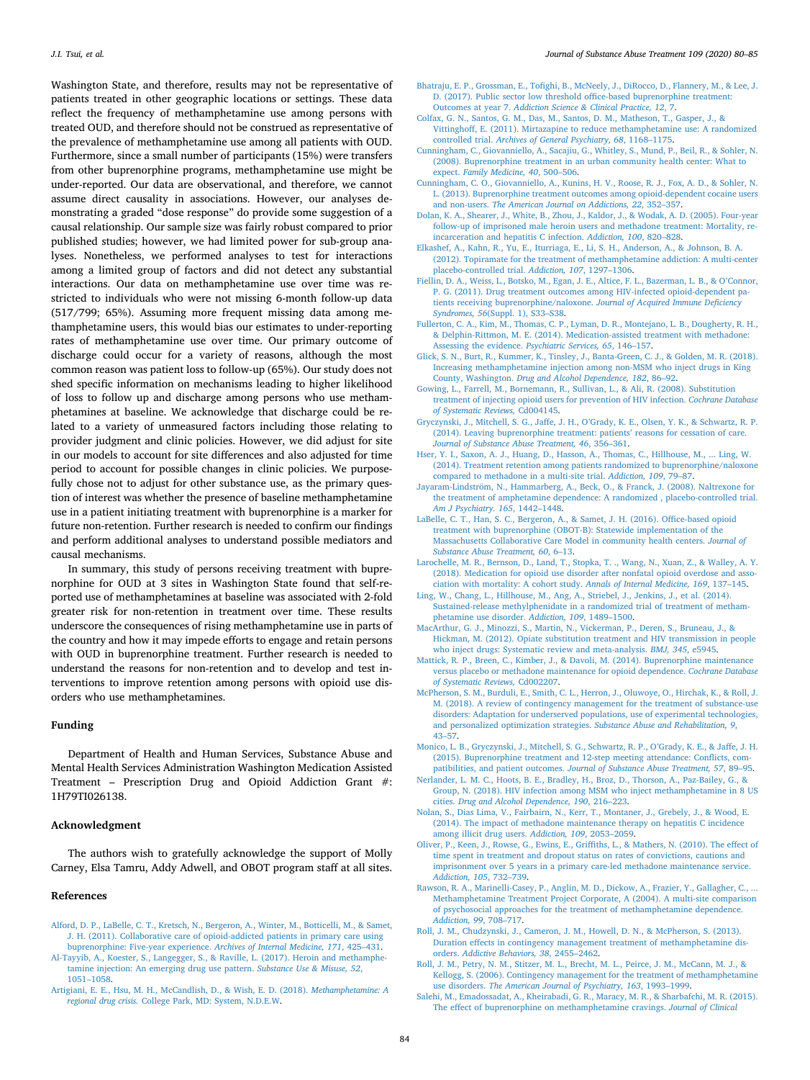Washington State, and therefore, results may not be representative of patients treated in other geographic locations or settings. These data reflect the frequency of methamphetamine use among persons with treated OUD, and therefore should not be construed as representative of the prevalence of methamphetamine use among all patients with OUD. Furthermore, since a small number of participants (15%) were transfers from other buprenorphine programs, methamphetamine use might be under-reported. Our data are observational, and therefore, we cannot assume direct causality in associations. However, our analyses demonstrating a graded "dose response" do provide some suggestion of a causal relationship. Our sample size was fairly robust compared to prior published studies; however, we had limited power for sub-group analyses. Nonetheless, we performed analyses to test for interactions among a limited group of factors and did not detect any substantial interactions. Our data on methamphetamine use over time was restricted to individuals who were not missing 6-month follow-up data (517/799; 65%). Assuming more frequent missing data among methamphetamine users, this would bias our estimates to under-reporting rates of methamphetamine use over time. Our primary outcome of discharge could occur for a variety of reasons, although the most common reason was patient loss to follow-up (65%). Our study does not shed specific information on mechanisms leading to higher likelihood of loss to follow up and discharge among persons who use methamphetamines at baseline. We acknowledge that discharge could be related to a variety of unmeasured factors including those relating to provider judgment and clinic policies. However, we did adjust for site in our models to account for site differences and also adjusted for time period to account for possible changes in clinic policies. We purposefully chose not to adjust for other substance use, as the primary question of interest was whether the presence of baseline methamphetamine use in a patient initiating treatment with buprenorphine is a marker for future non-retention. Further research is needed to confirm our findings and perform additional analyses to understand possible mediators and causal mechanisms.

In summary, this study of persons receiving treatment with buprenorphine for OUD at 3 sites in Washington State found that self-reported use of methamphetamines at baseline was associated with 2-fold greater risk for non-retention in treatment over time. These results underscore the consequences of rising methamphetamine use in parts of the country and how it may impede efforts to engage and retain persons with OUD in buprenorphine treatment. Further research is needed to understand the reasons for non-retention and to develop and test interventions to improve retention among persons with opioid use disorders who use methamphetamines.

# **Funding**

Department of Health and Human Services, Substance Abuse and Mental Health Services Administration Washington Medication Assisted Treatment – Prescription Drug and Opioid Addiction Grant #: 1H79TI026138.

## **Acknowledgment**

The authors wish to gratefully acknowledge the support of Molly Carney, Elsa Tamru, Addy Adwell, and OBOT program staff at all sites.

# **References**

- <span id="page-4-17"></span>[Alford, D. P., LaBelle, C. T., Kretsch, N., Bergeron, A., Winter, M., Botticelli, M., & Samet,](http://refhub.elsevier.com/S0740-5472(19)30250-8/rf0005) [J. H. \(2011\). Collaborative care of opioid-addicted patients in primary care using](http://refhub.elsevier.com/S0740-5472(19)30250-8/rf0005) [buprenorphine: Five-year experience.](http://refhub.elsevier.com/S0740-5472(19)30250-8/rf0005) *Archives of Internal Medicine, 171*, 425–431.
- <span id="page-4-9"></span>[Al-Tayyib, A., Koester, S., Langegger, S., & Raville, L. \(2017\). Heroin and methamphe](http://refhub.elsevier.com/S0740-5472(19)30250-8/rf0010)[tamine injection: An emerging drug use pattern.](http://refhub.elsevier.com/S0740-5472(19)30250-8/rf0010) *Substance Use & Misuse, 52*, [1051–1058](http://refhub.elsevier.com/S0740-5472(19)30250-8/rf0010).
- <span id="page-4-8"></span>[Artigiani, E. E., Hsu, M. H., McCandlish, D., & Wish, E. D. \(2018\).](http://refhub.elsevier.com/S0740-5472(19)30250-8/rf0015) *Methamphetamine: A regional drug crisis.* [College Park, MD: System, N.D.E.W.](http://refhub.elsevier.com/S0740-5472(19)30250-8/rf0015)
- <span id="page-4-11"></span>[Bhatraju, E. P., Grossman, E., Tofighi, B., McNeely, J., DiRocco, D., Flannery, M., & Lee, J.](http://refhub.elsevier.com/S0740-5472(19)30250-8/rf0020) [D. \(2017\). Public sector low threshold office-based buprenorphine treatment:](http://refhub.elsevier.com/S0740-5472(19)30250-8/rf0020) Outcomes at year 7. *[Addiction Science & Clinical Practice, 12](http://refhub.elsevier.com/S0740-5472(19)30250-8/rf0020)*, 7.
- <span id="page-4-25"></span>[Colfax, G. N., Santos, G. M., Das, M., Santos, D. M., Matheson, T., Gasper, J., &](http://refhub.elsevier.com/S0740-5472(19)30250-8/rf0025) [Vittinghoff, E. \(2011\). Mirtazapine to reduce methamphetamine use: A randomized](http://refhub.elsevier.com/S0740-5472(19)30250-8/rf0025) controlled trial. *[Archives of General Psychiatry, 68](http://refhub.elsevier.com/S0740-5472(19)30250-8/rf0025)*, 1168–1175.
- <span id="page-4-14"></span>[Cunningham, C., Giovanniello, A., Sacajiu, G., Whitley, S., Mund, P., Beil, R., & Sohler, N.](http://refhub.elsevier.com/S0740-5472(19)30250-8/rf0030) [\(2008\). Buprenorphine treatment in an urban community health center: What to](http://refhub.elsevier.com/S0740-5472(19)30250-8/rf0030) expect. *[Family Medicine, 40](http://refhub.elsevier.com/S0740-5472(19)30250-8/rf0030)*, 500–506.
- <span id="page-4-20"></span>[Cunningham, C. O., Giovanniello, A., Kunins, H. V., Roose, R. J., Fox, A. D., & Sohler, N.](http://refhub.elsevier.com/S0740-5472(19)30250-8/rf0035) [L. \(2013\). Buprenorphine treatment outcomes among opioid-dependent cocaine users](http://refhub.elsevier.com/S0740-5472(19)30250-8/rf0035) and non-users. *[The American Journal on Addictions, 22](http://refhub.elsevier.com/S0740-5472(19)30250-8/rf0035)*, 352–357.
- <span id="page-4-2"></span>[Dolan, K. A., Shearer, J., White, B., Zhou, J., Kaldor, J., & Wodak, A. D. \(2005\). Four-year](http://refhub.elsevier.com/S0740-5472(19)30250-8/rf0040) [follow-up of imprisoned male heroin users and methadone treatment: Mortality, re](http://refhub.elsevier.com/S0740-5472(19)30250-8/rf0040)[incarceration and hepatitis C infection.](http://refhub.elsevier.com/S0740-5472(19)30250-8/rf0040) *Addiction, 100*, 820–828.
- <span id="page-4-26"></span>[Elkashef, A., Kahn, R., Yu, E., Iturriaga, E., Li, S. H., Anderson, A., & Johnson, B. A.](http://refhub.elsevier.com/S0740-5472(19)30250-8/rf0045) [\(2012\). Topiramate for the treatment of methamphetamine addiction: A multi-center](http://refhub.elsevier.com/S0740-5472(19)30250-8/rf0045) [placebo-controlled trial.](http://refhub.elsevier.com/S0740-5472(19)30250-8/rf0045) *Addiction, 107*, 1297–1306.
- <span id="page-4-16"></span>[Fiellin, D. A., Weiss, L., Botsko, M., Egan, J. E., Altice, F. L., Bazerman, L. B., & O'Connor,](http://refhub.elsevier.com/S0740-5472(19)30250-8/rf0050) [P. G. \(2011\). Drug treatment outcomes among HIV-infected opioid-dependent pa](http://refhub.elsevier.com/S0740-5472(19)30250-8/rf0050)[tients receiving buprenorphine/naloxone.](http://refhub.elsevier.com/S0740-5472(19)30250-8/rf0050) *Journal of Acquired Immune Deficiency Syndromes, 56*[\(Suppl. 1\), S33–S38.](http://refhub.elsevier.com/S0740-5472(19)30250-8/rf0050)
- <span id="page-4-0"></span>[Fullerton, C. A., Kim, M., Thomas, C. P., Lyman, D. R., Montejano, L. B., Dougherty, R. H.,](http://refhub.elsevier.com/S0740-5472(19)30250-8/rf0055) [& Delphin-Rittmon, M. E. \(2014\). Medication-assisted treatment with methadone:](http://refhub.elsevier.com/S0740-5472(19)30250-8/rf0055) [Assessing the evidence.](http://refhub.elsevier.com/S0740-5472(19)30250-8/rf0055) *Psychiatric Services, 65*, 146–157.
- <span id="page-4-10"></span>[Glick, S. N., Burt, R., Kummer, K., Tinsley, J., Banta-Green, C. J., & Golden, M. R. \(2018\).](http://refhub.elsevier.com/S0740-5472(19)30250-8/rf0060) [Increasing methamphetamine injection among non-MSM who inject drugs in King](http://refhub.elsevier.com/S0740-5472(19)30250-8/rf0060) County, Washington. *[Drug and Alcohol Dependence, 182](http://refhub.elsevier.com/S0740-5472(19)30250-8/rf0060)*, 86–92.
- <span id="page-4-3"></span>[Gowing, L., Farrell, M., Bornemann, R., Sullivan, L., & Ali, R. \(2008\). Substitution](http://refhub.elsevier.com/S0740-5472(19)30250-8/rf0065) [treatment of injecting opioid users for prevention of HIV infection.](http://refhub.elsevier.com/S0740-5472(19)30250-8/rf0065) *Cochrane Database [of Systematic Reviews,](http://refhub.elsevier.com/S0740-5472(19)30250-8/rf0065)* Cd004145.
- <span id="page-4-12"></span>[Gryczynski, J., Mitchell, S. G., Jaffe, J. H., O'Grady, K. E., Olsen, Y. K., & Schwartz, R. P.](http://refhub.elsevier.com/S0740-5472(19)30250-8/rf0070) [\(2014\). Leaving buprenorphine treatment: patients' reasons for cessation of care.](http://refhub.elsevier.com/S0740-5472(19)30250-8/rf0070) *[Journal of Substance Abuse Treatment, 46](http://refhub.elsevier.com/S0740-5472(19)30250-8/rf0070)*, 356–361.
- <span id="page-4-13"></span>[Hser, Y. I., Saxon, A. J., Huang, D., Hasson, A., Thomas, C., Hillhouse, M., ... Ling, W.](http://refhub.elsevier.com/S0740-5472(19)30250-8/rf0075) [\(2014\). Treatment retention among patients randomized to buprenorphine/naloxone](http://refhub.elsevier.com/S0740-5472(19)30250-8/rf0075) [compared to methadone in a multi-site trial.](http://refhub.elsevier.com/S0740-5472(19)30250-8/rf0075) *Addiction, 109*, 79–87.
- <span id="page-4-27"></span>[Jayaram-Lindström, N., Hammarberg, A., Beck, O., & Franck, J. \(2008\). Naltrexone for](http://refhub.elsevier.com/S0740-5472(19)30250-8/rf1913) [the treatment of amphetamine dependence: A randomized , placebo-controlled trial.](http://refhub.elsevier.com/S0740-5472(19)30250-8/rf1913) *[Am J Psychiatry. 165](http://refhub.elsevier.com/S0740-5472(19)30250-8/rf1913)*, 1442–1448.
- <span id="page-4-18"></span>[LaBelle, C. T., Han, S. C., Bergeron, A., & Samet, J. H. \(2016\). Office-based opioid](http://refhub.elsevier.com/S0740-5472(19)30250-8/rf0080) [treatment with buprenorphine \(OBOT-B\): Statewide implementation of the](http://refhub.elsevier.com/S0740-5472(19)30250-8/rf0080) [Massachusetts Collaborative Care Model in community health centers.](http://refhub.elsevier.com/S0740-5472(19)30250-8/rf0080) *Journal of [Substance Abuse Treatment, 60](http://refhub.elsevier.com/S0740-5472(19)30250-8/rf0080)*, 6–13.
- <span id="page-4-4"></span>[Larochelle, M. R., Bernson, D., Land, T., Stopka, T. ., Wang, N., Xuan, Z., & Walley, A. Y.](http://refhub.elsevier.com/S0740-5472(19)30250-8/rf0085) [\(2018\). Medication for opioid use disorder after nonfatal opioid overdose and asso](http://refhub.elsevier.com/S0740-5472(19)30250-8/rf0085)[ciation with mortality: A cohort study.](http://refhub.elsevier.com/S0740-5472(19)30250-8/rf0085) *Annals of Internal Medicine, 169*, 137–145.
- <span id="page-4-28"></span>[Ling, W., Chang, L., Hillhouse, M., Ang, A., Striebel, J., Jenkins, J., et al. \(2014\).](http://refhub.elsevier.com/S0740-5472(19)30250-8/rf1911) [Sustained-release methylphenidate in a randomized trial of treatment of metham](http://refhub.elsevier.com/S0740-5472(19)30250-8/rf1911)[phetamine use disorder.](http://refhub.elsevier.com/S0740-5472(19)30250-8/rf1911) *Addiction, 109*, 1489–1500.
- <span id="page-4-5"></span>[MacArthur, G. J., Minozzi, S., Martin, N., Vickerman, P., Deren, S., Bruneau, J., &](http://refhub.elsevier.com/S0740-5472(19)30250-8/rf0090) [Hickman, M. \(2012\). Opiate substitution treatment and HIV transmission in people](http://refhub.elsevier.com/S0740-5472(19)30250-8/rf0090) [who inject drugs: Systematic review and meta-analysis.](http://refhub.elsevier.com/S0740-5472(19)30250-8/rf0090) *BMJ, 345*, e5945.
- <span id="page-4-1"></span>[Mattick, R. P., Breen, C., Kimber, J., & Davoli, M. \(2014\). Buprenorphine maintenance](http://refhub.elsevier.com/S0740-5472(19)30250-8/rf0095) [versus placebo or methadone maintenance for opioid dependence.](http://refhub.elsevier.com/S0740-5472(19)30250-8/rf0095) *Cochrane Database [of Systematic Reviews,](http://refhub.elsevier.com/S0740-5472(19)30250-8/rf0095)* Cd002207.
- <span id="page-4-24"></span>[McPherson, S. M., Burduli, E., Smith, C. L., Herron, J., Oluwoye, O., Hirchak, K., & Roll, J.](http://refhub.elsevier.com/S0740-5472(19)30250-8/rf0100) [M. \(2018\). A review of contingency management for the treatment of substance-use](http://refhub.elsevier.com/S0740-5472(19)30250-8/rf0100) [disorders: Adaptation for underserved populations, use of experimental technologies,](http://refhub.elsevier.com/S0740-5472(19)30250-8/rf0100) [and personalized optimization strategies.](http://refhub.elsevier.com/S0740-5472(19)30250-8/rf0100) *Substance Abuse and Rehabilitation, 9*, [43–57](http://refhub.elsevier.com/S0740-5472(19)30250-8/rf0100).
- <span id="page-4-29"></span>[Monico, L. B., Gryczynski, J., Mitchell, S. G., Schwartz, R. P., O'Grady, K. E., & Jaffe, J. H.](http://refhub.elsevier.com/S0740-5472(19)30250-8/rf0105) [\(2015\). Buprenorphine treatment and 12-step meeting attendance: Conflicts, com](http://refhub.elsevier.com/S0740-5472(19)30250-8/rf0105)patibilities, and patient outcomes. *[Journal of Substance Abuse Treatment, 57](http://refhub.elsevier.com/S0740-5472(19)30250-8/rf0105)*, 89–95.
- <span id="page-4-19"></span>[Nerlander, L. M. C., Hoots, B. E., Bradley, H., Broz, D., Thorson, A., Paz-Bailey, G., &](http://refhub.elsevier.com/S0740-5472(19)30250-8/rf0110) [Group, N. \(2018\). HIV infection among MSM who inject methamphetamine in 8 US](http://refhub.elsevier.com/S0740-5472(19)30250-8/rf0110) cities. *[Drug and Alcohol Dependence, 190](http://refhub.elsevier.com/S0740-5472(19)30250-8/rf0110)*, 216–223.
- <span id="page-4-6"></span>[Nolan, S., Dias Lima, V., Fairbairn, N., Kerr, T., Montaner, J., Grebely, J., & Wood, E.](http://refhub.elsevier.com/S0740-5472(19)30250-8/rf0115) [\(2014\). The impact of methadone maintenance therapy on hepatitis C incidence](http://refhub.elsevier.com/S0740-5472(19)30250-8/rf0115) [among illicit drug users.](http://refhub.elsevier.com/S0740-5472(19)30250-8/rf0115) *Addiction, 109*, 2053–2059.
- <span id="page-4-7"></span>[Oliver, P., Keen, J., Rowse, G., Ewins, E., Griffiths, L., & Mathers, N. \(2010\). The effect of](http://refhub.elsevier.com/S0740-5472(19)30250-8/rf0120) [time spent in treatment and dropout status on rates of convictions, cautions and](http://refhub.elsevier.com/S0740-5472(19)30250-8/rf0120) [imprisonment over 5 years in a primary care-led methadone maintenance service.](http://refhub.elsevier.com/S0740-5472(19)30250-8/rf0120) *[Addiction, 105](http://refhub.elsevier.com/S0740-5472(19)30250-8/rf0120)*, 732–739.
- <span id="page-4-21"></span>[Rawson, R. A., Marinelli-Casey, P., Anglin, M. D., Dickow, A., Frazier, Y., Gallagher, C., ...](http://refhub.elsevier.com/S0740-5472(19)30250-8/rf0125) [Methamphetamine Treatment Project Corporate, A \(2004\). A multi-site comparison](http://refhub.elsevier.com/S0740-5472(19)30250-8/rf0125) [of psychosocial approaches for the treatment of methamphetamine dependence.](http://refhub.elsevier.com/S0740-5472(19)30250-8/rf0125) *[Addiction, 99](http://refhub.elsevier.com/S0740-5472(19)30250-8/rf0125)*, 708–717.
- <span id="page-4-23"></span>[Roll, J. M., Chudzynski, J., Cameron, J. M., Howell, D. N., & McPherson, S. \(2013\).](http://refhub.elsevier.com/S0740-5472(19)30250-8/rf0130) [Duration effects in contingency management treatment of methamphetamine dis](http://refhub.elsevier.com/S0740-5472(19)30250-8/rf0130)orders. *[Addictive Behaviors, 38](http://refhub.elsevier.com/S0740-5472(19)30250-8/rf0130)*, 2455–2462.
- <span id="page-4-22"></span>[Roll, J. M., Petry, N. M., Stitzer, M. L., Brecht, M. L., Peirce, J. M., McCann, M. J., &](http://refhub.elsevier.com/S0740-5472(19)30250-8/rf0135) [Kellogg, S. \(2006\). Contingency management for the treatment of methamphetamine](http://refhub.elsevier.com/S0740-5472(19)30250-8/rf0135) use disorders. *[The American Journal of Psychiatry, 163](http://refhub.elsevier.com/S0740-5472(19)30250-8/rf0135)*, 1993–1999.
- <span id="page-4-15"></span>[Salehi, M., Emadossadat, A., Kheirabadi, G. R., Maracy, M. R., & Sharbafchi, M. R. \(2015\).](http://refhub.elsevier.com/S0740-5472(19)30250-8/rf0140) [The effect of buprenorphine on methamphetamine cravings.](http://refhub.elsevier.com/S0740-5472(19)30250-8/rf0140) *Journal of Clinical*